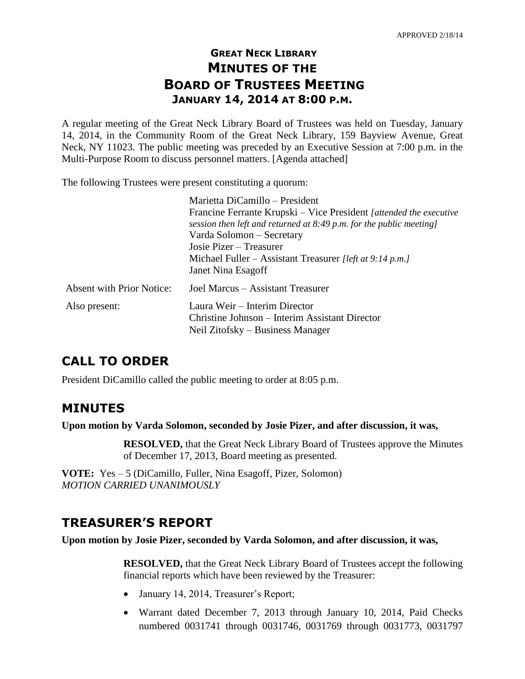# **GREAT NECK LIBRARY MINUTES OF THE BOARD OF TRUSTEES MEETING JANUARY 14, 2014 AT 8:00 P.M.**

A regular meeting of the Great Neck Library Board of Trustees was held on Tuesday, January 14, 2014, in the Community Room of the Great Neck Library, 159 Bayview Avenue, Great Neck, NY 11023. The public meeting was preceded by an Executive Session at 7:00 p.m. in the Multi-Purpose Room to discuss personnel matters. [Agenda attached]

The following Trustees were present constituting a quorum:

|                                  | Marietta DiCamillo - President                                                                                                              |
|----------------------------------|---------------------------------------------------------------------------------------------------------------------------------------------|
|                                  | Francine Ferrante Krupski – Vice President [attended the executive<br>session then left and returned at $8:49$ p.m. for the public meeting] |
|                                  | Varda Solomon – Secretary                                                                                                                   |
|                                  | Josie Pizer – Treasurer                                                                                                                     |
|                                  | Michael Fuller – Assistant Treasurer [left at 9:14 p.m.]                                                                                    |
|                                  | Janet Nina Esagoff                                                                                                                          |
| <b>Absent with Prior Notice:</b> | Joel Marcus – Assistant Treasurer                                                                                                           |
| Also present:                    | Laura Weir - Interim Director<br>Christine Johnson – Interim Assistant Director<br>Neil Zitofsky – Business Manager                         |

## **CALL TO ORDER**

President DiCamillo called the public meeting to order at 8:05 p.m.

## **MINUTES**

**Upon motion by Varda Solomon, seconded by Josie Pizer, and after discussion, it was,**

**RESOLVED,** that the Great Neck Library Board of Trustees approve the Minutes of December 17, 2013, Board meeting as presented.

**VOTE:** Yes – 5 (DiCamillo, Fuller, Nina Esagoff, Pizer, Solomon) *MOTION CARRIED UNANIMOUSLY*

# **TREASURER'S REPORT**

**Upon motion by Josie Pizer, seconded by Varda Solomon, and after discussion, it was,**

**RESOLVED,** that the Great Neck Library Board of Trustees accept the following financial reports which have been reviewed by the Treasurer:

- January 14, 2014, Treasurer's Report;
- Warrant dated December 7, 2013 through January 10, 2014, Paid Checks numbered 0031741 through 0031746, 0031769 through 0031773, 0031797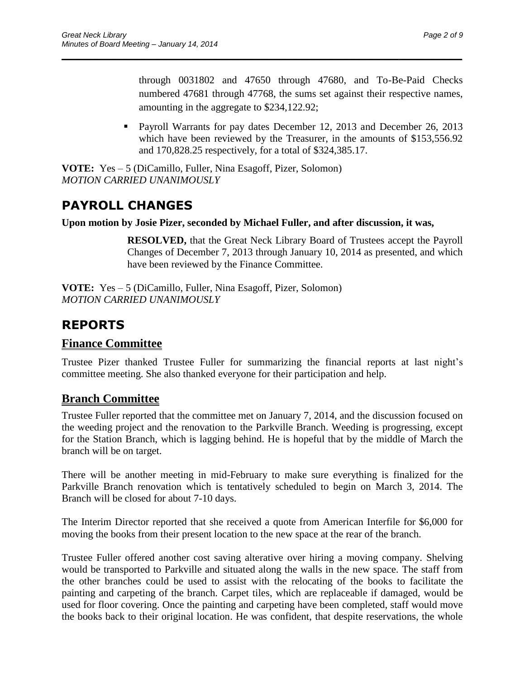through 0031802 and 47650 through 47680, and To-Be-Paid Checks numbered 47681 through 47768, the sums set against their respective names, amounting in the aggregate to \$234,122.92;

**Payroll Warrants for pay dates December 12, 2013 and December 26, 2013** which have been reviewed by the Treasurer, in the amounts of \$153,556.92 and 170,828.25 respectively, for a total of \$324,385.17.

**VOTE:** Yes – 5 (DiCamillo, Fuller, Nina Esagoff, Pizer, Solomon) *MOTION CARRIED UNANIMOUSLY*

# **PAYROLL CHANGES**

#### **Upon motion by Josie Pizer, seconded by Michael Fuller, and after discussion, it was,**

 $\overline{\phantom{a}}$  , and the contract of the contract of the contract of the contract of the contract of the contract of the contract of the contract of the contract of the contract of the contract of the contract of the contrac

**RESOLVED,** that the Great Neck Library Board of Trustees accept the Payroll Changes of December 7, 2013 through January 10, 2014 as presented, and which have been reviewed by the Finance Committee.

**VOTE:** Yes – 5 (DiCamillo, Fuller, Nina Esagoff, Pizer, Solomon) *MOTION CARRIED UNANIMOUSLY*

# **REPORTS**

### **Finance Committee**

Trustee Pizer thanked Trustee Fuller for summarizing the financial reports at last night's committee meeting. She also thanked everyone for their participation and help.

### **Branch Committee**

Trustee Fuller reported that the committee met on January 7, 2014, and the discussion focused on the weeding project and the renovation to the Parkville Branch. Weeding is progressing, except for the Station Branch, which is lagging behind. He is hopeful that by the middle of March the branch will be on target.

There will be another meeting in mid-February to make sure everything is finalized for the Parkville Branch renovation which is tentatively scheduled to begin on March 3, 2014. The Branch will be closed for about 7-10 days.

The Interim Director reported that she received a quote from American Interfile for \$6,000 for moving the books from their present location to the new space at the rear of the branch.

Trustee Fuller offered another cost saving alterative over hiring a moving company. Shelving would be transported to Parkville and situated along the walls in the new space. The staff from the other branches could be used to assist with the relocating of the books to facilitate the painting and carpeting of the branch. Carpet tiles, which are replaceable if damaged, would be used for floor covering. Once the painting and carpeting have been completed, staff would move the books back to their original location. He was confident, that despite reservations, the whole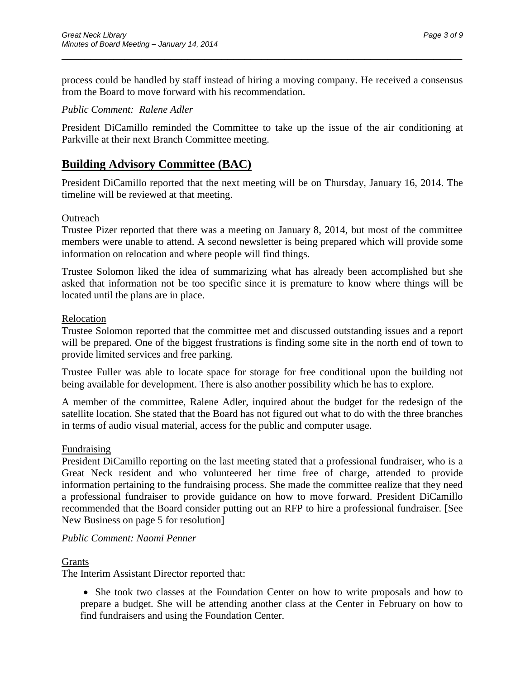process could be handled by staff instead of hiring a moving company. He received a consensus from the Board to move forward with his recommendation.

 $\overline{\phantom{a}}$  , and the contract of the contract of the contract of the contract of the contract of the contract of the contract of the contract of the contract of the contract of the contract of the contract of the contrac

#### *Public Comment: Ralene Adler*

President DiCamillo reminded the Committee to take up the issue of the air conditioning at Parkville at their next Branch Committee meeting.

### **Building Advisory Committee (BAC)**

President DiCamillo reported that the next meeting will be on Thursday, January 16, 2014. The timeline will be reviewed at that meeting.

#### **Outreach**

Trustee Pizer reported that there was a meeting on January 8, 2014, but most of the committee members were unable to attend. A second newsletter is being prepared which will provide some information on relocation and where people will find things.

Trustee Solomon liked the idea of summarizing what has already been accomplished but she asked that information not be too specific since it is premature to know where things will be located until the plans are in place.

#### Relocation

Trustee Solomon reported that the committee met and discussed outstanding issues and a report will be prepared. One of the biggest frustrations is finding some site in the north end of town to provide limited services and free parking.

Trustee Fuller was able to locate space for storage for free conditional upon the building not being available for development. There is also another possibility which he has to explore.

A member of the committee, Ralene Adler, inquired about the budget for the redesign of the satellite location. She stated that the Board has not figured out what to do with the three branches in terms of audio visual material, access for the public and computer usage.

#### Fundraising

President DiCamillo reporting on the last meeting stated that a professional fundraiser, who is a Great Neck resident and who volunteered her time free of charge, attended to provide information pertaining to the fundraising process. She made the committee realize that they need a professional fundraiser to provide guidance on how to move forward. President DiCamillo recommended that the Board consider putting out an RFP to hire a professional fundraiser. [See New Business on page 5 for resolution]

### *Public Comment: Naomi Penner*

#### **Grants**

The Interim Assistant Director reported that:

 She took two classes at the Foundation Center on how to write proposals and how to prepare a budget. She will be attending another class at the Center in February on how to find fundraisers and using the Foundation Center.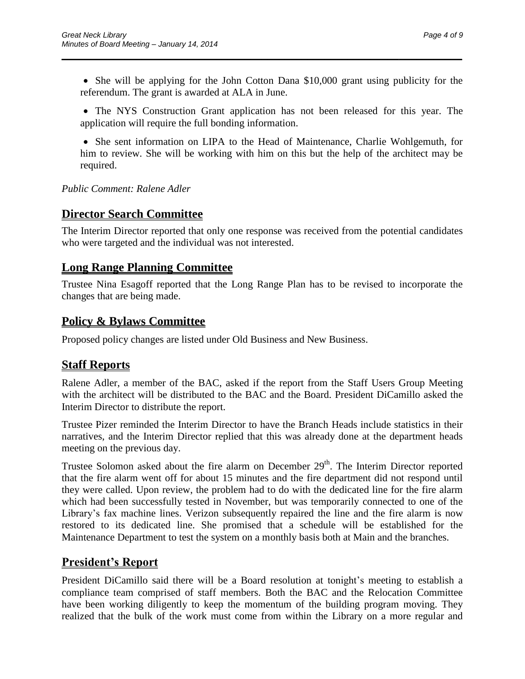• She will be applying for the John Cotton Dana \$10,000 grant using publicity for the referendum. The grant is awarded at ALA in June.

 $\overline{\phantom{a}}$  , and the contract of the contract of the contract of the contract of the contract of the contract of the contract of the contract of the contract of the contract of the contract of the contract of the contrac

 The NYS Construction Grant application has not been released for this year. The application will require the full bonding information.

• She sent information on LIPA to the Head of Maintenance, Charlie Wohlgemuth, for him to review. She will be working with him on this but the help of the architect may be required.

*Public Comment: Ralene Adler*

### **Director Search Committee**

The Interim Director reported that only one response was received from the potential candidates who were targeted and the individual was not interested.

## **Long Range Planning Committee**

Trustee Nina Esagoff reported that the Long Range Plan has to be revised to incorporate the changes that are being made.

### **Policy & Bylaws Committee**

Proposed policy changes are listed under Old Business and New Business.

## **Staff Reports**

Ralene Adler, a member of the BAC, asked if the report from the Staff Users Group Meeting with the architect will be distributed to the BAC and the Board. President DiCamillo asked the Interim Director to distribute the report.

Trustee Pizer reminded the Interim Director to have the Branch Heads include statistics in their narratives, and the Interim Director replied that this was already done at the department heads meeting on the previous day.

Trustee Solomon asked about the fire alarm on December 29<sup>th</sup>. The Interim Director reported that the fire alarm went off for about 15 minutes and the fire department did not respond until they were called. Upon review, the problem had to do with the dedicated line for the fire alarm which had been successfully tested in November, but was temporarily connected to one of the Library's fax machine lines. Verizon subsequently repaired the line and the fire alarm is now restored to its dedicated line. She promised that a schedule will be established for the Maintenance Department to test the system on a monthly basis both at Main and the branches.

## **President's Report**

President DiCamillo said there will be a Board resolution at tonight's meeting to establish a compliance team comprised of staff members. Both the BAC and the Relocation Committee have been working diligently to keep the momentum of the building program moving. They realized that the bulk of the work must come from within the Library on a more regular and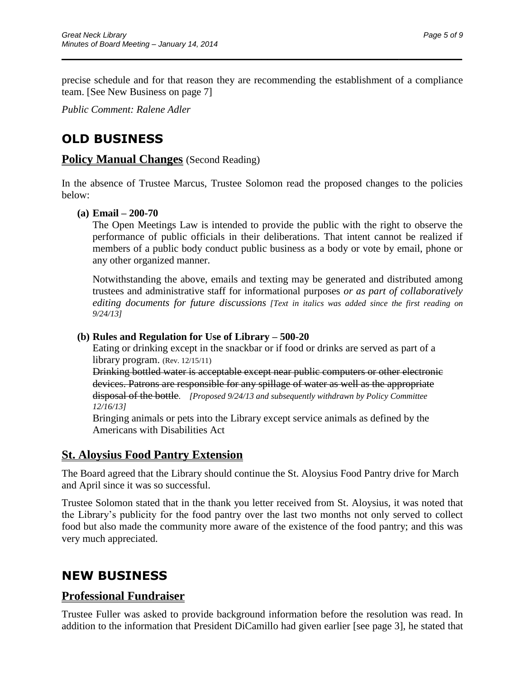precise schedule and for that reason they are recommending the establishment of a compliance team. [See New Business on page 7]

 $\overline{\phantom{a}}$  , and the contract of the contract of the contract of the contract of the contract of the contract of the contract of the contract of the contract of the contract of the contract of the contract of the contrac

*Public Comment: Ralene Adler*

# **OLD BUSINESS**

### **Policy Manual Changes** (Second Reading)

In the absence of Trustee Marcus, Trustee Solomon read the proposed changes to the policies below:

#### **(a) Email – 200-70**

The Open Meetings Law is intended to provide the public with the right to observe the performance of public officials in their deliberations. That intent cannot be realized if members of a public body conduct public business as a body or vote by email, phone or any other organized manner.

Notwithstanding the above, emails and texting may be generated and distributed among trustees and administrative staff for informational purposes *or as part of collaboratively editing documents for future discussions [Text in italics was added since the first reading on 9/24/13]*

### **(b) Rules and Regulation for Use of Library – 500-20**

Eating or drinking except in the snackbar or if food or drinks are served as part of a library program. (Rev. 12/15/11)

Drinking bottled water is acceptable except near public computers or other electronic devices. Patrons are responsible for any spillage of water as well as the appropriate disposal of the bottle. *[Proposed 9/24/13 and subsequently withdrawn by Policy Committee 12/16/13]*

Bringing animals or pets into the Library except service animals as defined by the Americans with Disabilities Act

### **St. Aloysius Food Pantry Extension**

The Board agreed that the Library should continue the St. Aloysius Food Pantry drive for March and April since it was so successful.

Trustee Solomon stated that in the thank you letter received from St. Aloysius, it was noted that the Library's publicity for the food pantry over the last two months not only served to collect food but also made the community more aware of the existence of the food pantry; and this was very much appreciated.

# **NEW BUSINESS**

### **Professional Fundraiser**

Trustee Fuller was asked to provide background information before the resolution was read. In addition to the information that President DiCamillo had given earlier [see page 3], he stated that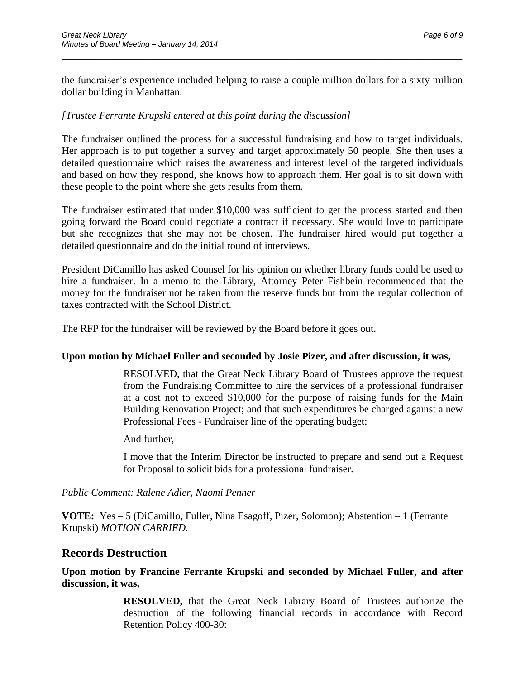the fundraiser's experience included helping to raise a couple million dollars for a sixty million dollar building in Manhattan.

 $\overline{\phantom{a}}$  , and the contract of the contract of the contract of the contract of the contract of the contract of the contract of the contract of the contract of the contract of the contract of the contract of the contrac

### *[Trustee Ferrante Krupski entered at this point during the discussion]*

The fundraiser outlined the process for a successful fundraising and how to target individuals. Her approach is to put together a survey and target approximately 50 people. She then uses a detailed questionnaire which raises the awareness and interest level of the targeted individuals and based on how they respond, she knows how to approach them. Her goal is to sit down with these people to the point where she gets results from them.

The fundraiser estimated that under \$10,000 was sufficient to get the process started and then going forward the Board could negotiate a contract if necessary. She would love to participate but she recognizes that she may not be chosen. The fundraiser hired would put together a detailed questionnaire and do the initial round of interviews.

President DiCamillo has asked Counsel for his opinion on whether library funds could be used to hire a fundraiser. In a memo to the Library, Attorney Peter Fishbein recommended that the money for the fundraiser not be taken from the reserve funds but from the regular collection of taxes contracted with the School District.

The RFP for the fundraiser will be reviewed by the Board before it goes out.

#### **Upon motion by Michael Fuller and seconded by Josie Pizer, and after discussion, it was,**

RESOLVED, that the Great Neck Library Board of Trustees approve the request from the Fundraising Committee to hire the services of a professional fundraiser at a cost not to exceed \$10,000 for the purpose of raising funds for the Main Building Renovation Project; and that such expenditures be charged against a new Professional Fees - Fundraiser line of the operating budget;

And further,

I move that the Interim Director be instructed to prepare and send out a Request for Proposal to solicit bids for a professional fundraiser.

*Public Comment: Ralene Adler, Naomi Penner*

**VOTE:** Yes – 5 (DiCamillo, Fuller, Nina Esagoff, Pizer, Solomon); Abstention – 1 (Ferrante Krupski) *MOTION CARRIED.*

### **Records Destruction**

**Upon motion by Francine Ferrante Krupski and seconded by Michael Fuller, and after discussion, it was,**

> **RESOLVED,** that the Great Neck Library Board of Trustees authorize the destruction of the following financial records in accordance with Record Retention Policy 400-30: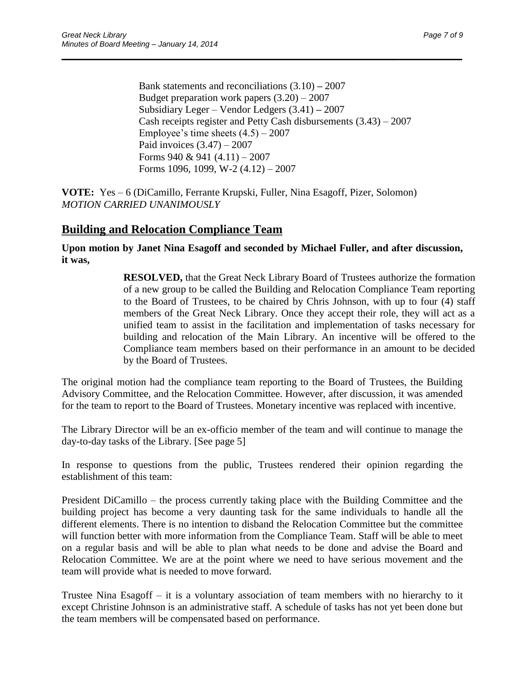Bank statements and reconciliations (3.10) **–** 2007 Budget preparation work papers  $(3.20) - 2007$ Subsidiary Leger – Vendor Ledgers (3.41) **–** 2007 Cash receipts register and Petty Cash disbursements (3.43) – 2007 Employee's time sheets  $(4.5) - 2007$ Paid invoices  $(3.47) - 2007$ Forms 940 & 941  $(4.11) - 2007$ Forms 1096, 1099, W-2 (4.12) – 2007

 $\overline{\phantom{a}}$  , and the contract of the contract of the contract of the contract of the contract of the contract of the contract of the contract of the contract of the contract of the contract of the contract of the contrac

**VOTE:** Yes – 6 (DiCamillo, Ferrante Krupski, Fuller, Nina Esagoff, Pizer, Solomon) *MOTION CARRIED UNANIMOUSLY*

### **Building and Relocation Compliance Team**

**Upon motion by Janet Nina Esagoff and seconded by Michael Fuller, and after discussion, it was,**

> **RESOLVED,** that the Great Neck Library Board of Trustees authorize the formation of a new group to be called the Building and Relocation Compliance Team reporting to the Board of Trustees, to be chaired by Chris Johnson, with up to four (4) staff members of the Great Neck Library. Once they accept their role, they will act as a unified team to assist in the facilitation and implementation of tasks necessary for building and relocation of the Main Library. An incentive will be offered to the Compliance team members based on their performance in an amount to be decided by the Board of Trustees.

The original motion had the compliance team reporting to the Board of Trustees, the Building Advisory Committee, and the Relocation Committee. However, after discussion, it was amended for the team to report to the Board of Trustees. Monetary incentive was replaced with incentive.

The Library Director will be an ex-officio member of the team and will continue to manage the day-to-day tasks of the Library. [See page 5]

In response to questions from the public, Trustees rendered their opinion regarding the establishment of this team:

President DiCamillo – the process currently taking place with the Building Committee and the building project has become a very daunting task for the same individuals to handle all the different elements. There is no intention to disband the Relocation Committee but the committee will function better with more information from the Compliance Team. Staff will be able to meet on a regular basis and will be able to plan what needs to be done and advise the Board and Relocation Committee. We are at the point where we need to have serious movement and the team will provide what is needed to move forward.

Trustee Nina Esagoff – it is a voluntary association of team members with no hierarchy to it except Christine Johnson is an administrative staff. A schedule of tasks has not yet been done but the team members will be compensated based on performance.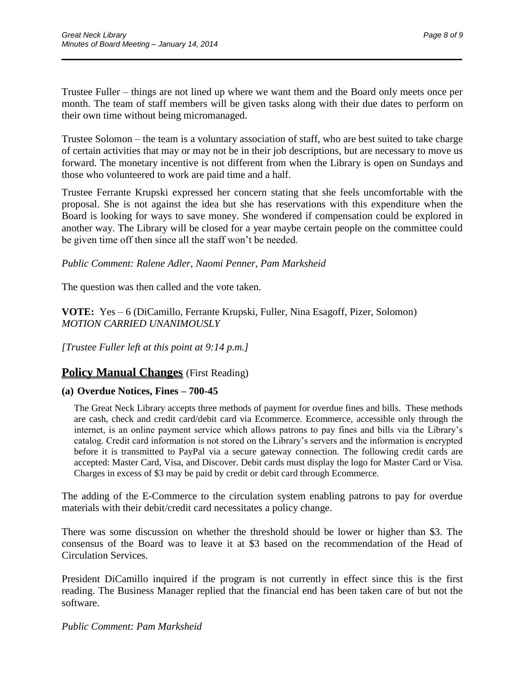Trustee Fuller – things are not lined up where we want them and the Board only meets once per month. The team of staff members will be given tasks along with their due dates to perform on their own time without being micromanaged.

 $\overline{\phantom{a}}$  , and the contract of the contract of the contract of the contract of the contract of the contract of the contract of the contract of the contract of the contract of the contract of the contract of the contrac

Trustee Solomon – the team is a voluntary association of staff, who are best suited to take charge of certain activities that may or may not be in their job descriptions, but are necessary to move us forward. The monetary incentive is not different from when the Library is open on Sundays and those who volunteered to work are paid time and a half.

Trustee Ferrante Krupski expressed her concern stating that she feels uncomfortable with the proposal. She is not against the idea but she has reservations with this expenditure when the Board is looking for ways to save money. She wondered if compensation could be explored in another way. The Library will be closed for a year maybe certain people on the committee could be given time off then since all the staff won't be needed.

#### *Public Comment: Ralene Adler, Naomi Penner, Pam Marksheid*

The question was then called and the vote taken.

**VOTE:** Yes – 6 (DiCamillo, Ferrante Krupski, Fuller, Nina Esagoff, Pizer, Solomon) *MOTION CARRIED UNANIMOUSLY*

*[Trustee Fuller left at this point at 9:14 p.m.]*

### **Policy Manual Changes** (First Reading)

### **(a) Overdue Notices, Fines – 700-45**

The Great Neck Library accepts three methods of payment for overdue fines and bills. These methods are cash, check and credit card/debit card via Ecommerce. Ecommerce, accessible only through the internet, is an online payment service which allows patrons to pay fines and bills via the Library's catalog. Credit card information is not stored on the Library's servers and the information is encrypted before it is transmitted to PayPal via a secure gateway connection. The following credit cards are accepted: Master Card, Visa, and Discover. Debit cards must display the logo for Master Card or Visa*.*  Charges in excess of \$3 may be paid by credit or debit card through Ecommerce.

The adding of the E-Commerce to the circulation system enabling patrons to pay for overdue materials with their debit/credit card necessitates a policy change.

There was some discussion on whether the threshold should be lower or higher than \$3. The consensus of the Board was to leave it at \$3 based on the recommendation of the Head of Circulation Services.

President DiCamillo inquired if the program is not currently in effect since this is the first reading. The Business Manager replied that the financial end has been taken care of but not the software.

*Public Comment: Pam Marksheid*